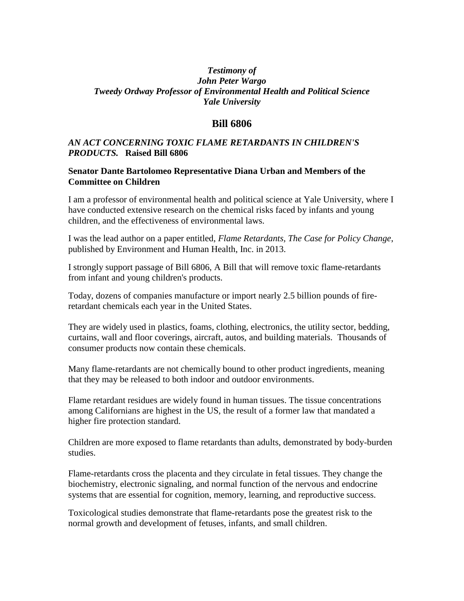## *Testimony of John Peter Wargo Tweedy Ordway Professor of Environmental Health and Political Science Yale University*

## **Bill 6806**

## *AN ACT CONCERNING TOXIC FLAME RETARDANTS IN CHILDREN'S PRODUCTS.* **Raised Bill 6806**

## **Senator Dante Bartolomeo Representative Diana Urban and Members of the Committee on Children**

I am a professor of environmental health and political science at Yale University, where I have conducted extensive research on the chemical risks faced by infants and young children, and the effectiveness of environmental laws.

I was the lead author on a paper entitled, *Flame Retardants, The Case for Policy Change*, published by Environment and Human Health, Inc. in 2013.

I strongly support passage of Bill 6806, A Bill that will remove toxic flame-retardants from infant and young children's products.

Today, dozens of companies manufacture or import nearly 2.5 billion pounds of fireretardant chemicals each year in the United States.

They are widely used in plastics, foams, clothing, electronics, the utility sector, bedding, curtains, wall and floor coverings, aircraft, autos, and building materials. Thousands of consumer products now contain these chemicals.

Many flame-retardants are not chemically bound to other product ingredients, meaning that they may be released to both indoor and outdoor environments.

Flame retardant residues are widely found in human tissues. The tissue concentrations among Californians are highest in the US, the result of a former law that mandated a higher fire protection standard.

Children are more exposed to flame retardants than adults, demonstrated by body-burden studies.

Flame-retardants cross the placenta and they circulate in fetal tissues. They change the biochemistry, electronic signaling, and normal function of the nervous and endocrine systems that are essential for cognition, memory, learning, and reproductive success.

Toxicological studies demonstrate that flame-retardants pose the greatest risk to the normal growth and development of fetuses, infants, and small children.